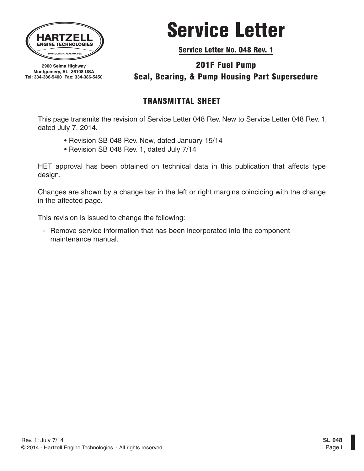

**2900 Selma Highway Montgomery, AL 36108 USA Tel: 334-386-5400 Fax: 334-386-5450** Service Letter

Service Letter No. 048 Rev. 1

## 201F Fuel Pump Seal, Bearing, & Pump Housing Part Supersedure

## TRANSMITTAL SHEET

This page transmits the revision of Service Letter 048 Rev. New to Service Letter 048 Rev. 1, dated July 7, 2014.

- Revision SB 048 Rev. New, dated January 15/14
- Revision SB 048 Rev. 1, dated July 7/14

HET approval has been obtained on technical data in this publication that affects type design.

Changes are shown by a change bar in the left or right margins coinciding with the change in the affected page.

This revision is issued to change the following:

- Remove service information that has been incorporated into the component maintenance manual.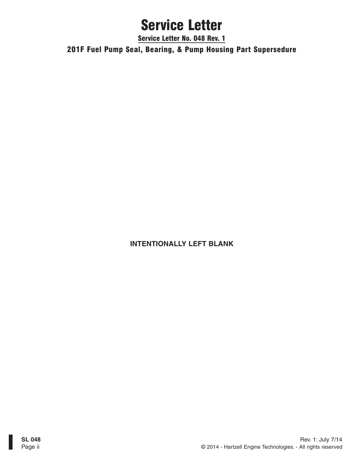# Service Letter

Service Letter No. 048 Rev. 1

201F Fuel Pump Seal, Bearing, & Pump Housing Part Supersedure

### **INTENTIONALLY LEFT BLANK**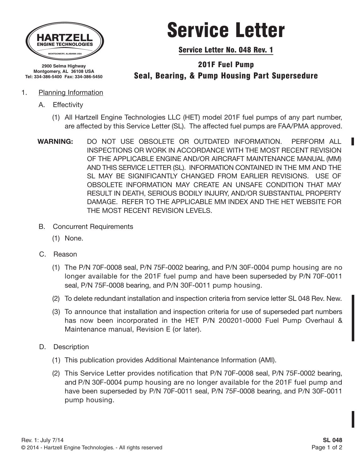

**2900 Selma Highway Montgomery, AL 36108 USA Tel: 334-386-5400 Fax: 334-386-5450**

### 1. Planning Information

A. Effectivity

# Service Letter

Service Letter No. 048 Rev. 1

## 201F Fuel Pump Seal, Bearing, & Pump Housing Part Supersedure

- (1) All Hartzell Engine Technologies LLC (HET) model 201F fuel pumps of any part number, are affected by this Service Letter (SL). The affected fuel pumps are FAA/PMA approved.
- **WARNING:** DO NOT USE OBSOLETE OR OUTDATED INFORMATION. PERFORM ALL INSPECTIONS OR WORK IN ACCORDANCE WITH THE MOST RECENT REVISION OF THE APPLICABLE ENGINE AND/OR AIRCRAFT MAINTENANCE MANUAL (MM) AND THIS SERVICE LETTER (SL). INFORMATION CONTAINED IN THE MM AND THE SL MAY BE SIGNIFICANTLY CHANGED FROM EARLIER REVISIONS. USE OF OBSOLETE INFORMATION MAY CREATE AN UNSAFE CONDITION THAT MAY RESULT IN DEATH, SERIOUS BODILY INJURY, AND/OR SUBSTANTIAL PROPERTY DAMAGE. REFER TO THE APPLICABLE MM INDEX AND THE HET WEBSITE FOR THE MOST RECENT REVISION LEVELS.
- B. Concurrent Requirements
	- (1) None.
- C. Reason
	- (1) The P/N 70F-0008 seal, P/N 75F-0002 bearing, and P/N 30F-0004 pump housing are no longer available for the 201F fuel pump and have been superseded by P/N 70F-0011 seal, P/N 75F-0008 bearing, and P/N 30F-0011 pump housing.
	- (2) To delete redundant installation and inspection criteria from service letter SL 048 Rev. New.
	- (3) To announce that installation and inspection criteria for use of superseded part numbers has now been incorporated in the HET P/N 200201-0000 Fuel Pump Overhaul & Maintenance manual, Revision E (or later).
- D. Description
	- (1) This publication provides Additional Maintenance Information (AMI).
	- (2) This Service Letter provides notification that P/N 70F-0008 seal, P/N 75F-0002 bearing, and P/N 30F-0004 pump housing are no longer available for the 201F fuel pump and have been superseded by P/N 70F-0011 seal, P/N 75F-0008 bearing, and P/N 30F-0011 pump housing.